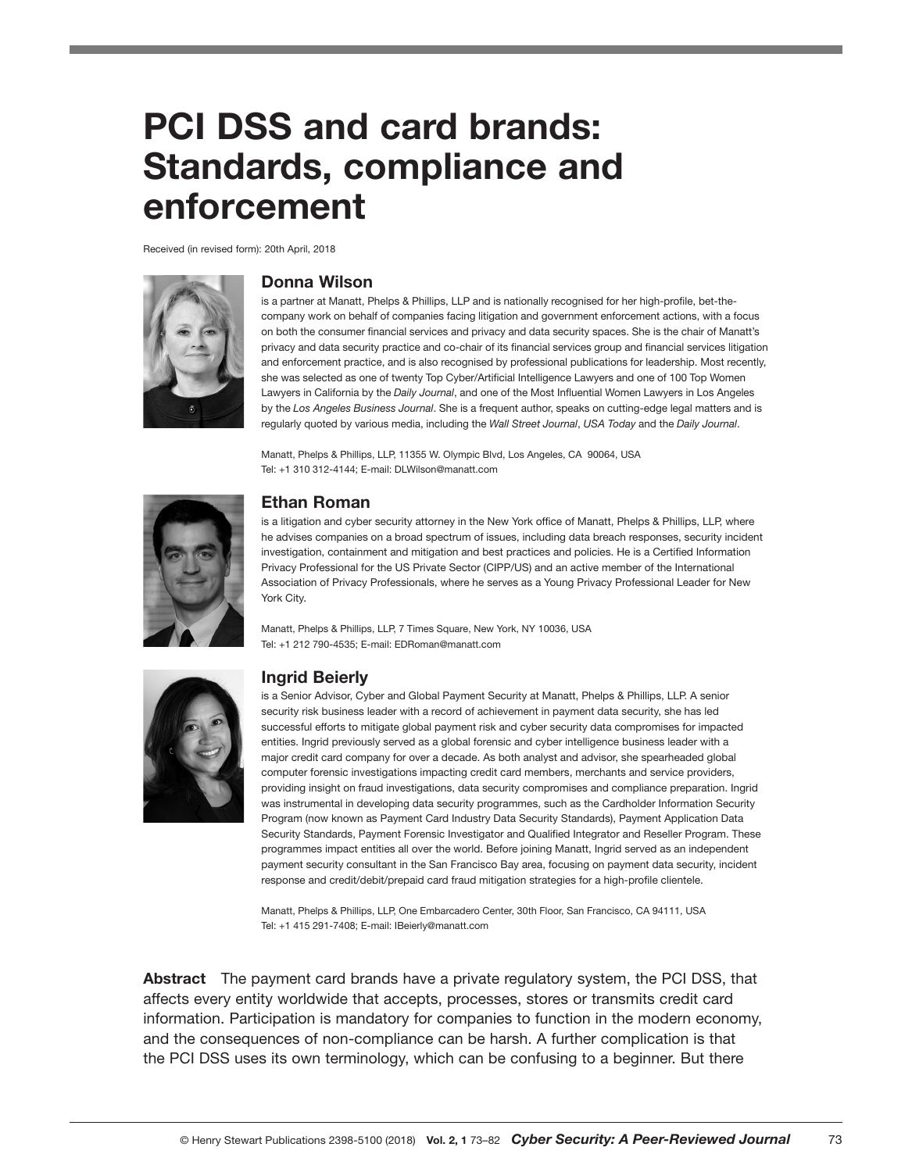# PCI DSS and card brands: Standards, compliance and enforcement

Received (in revised form): 20th April, 2018



#### Donna Wilson

is a partner at Manatt, Phelps & Phillips, LLP and is nationally recognised for her high-profile, bet-thecompany work on behalf of companies facing litigation and government enforcement actions, with a focus on both the consumer financial services and privacy and data security spaces. She is the chair of Manatt's privacy and data security practice and co-chair of its financial services group and financial services litigation and enforcement practice, and is also recognised by professional publications for leadership. Most recently, she was selected as one of twenty Top Cyber/Artificial Intelligence Lawyers and one of 100 Top Women Lawyers in California by the *Daily Journal*, and one of the Most Influential Women Lawyers in Los Angeles by the *Los Angeles Business Journal*. She is a frequent author, speaks on cutting-edge legal matters and is regularly quoted by various media, including the *Wall Street Journal*, *USA Today* and the *Daily Journal*.

Manatt, Phelps & Phillips, LLP, 11355 W. Olympic Blvd, Los Angeles, CA 90064, USA Tel: +1 310 312-4144; E-mail: DLWilson@manatt.com



#### Ethan Roman

is a litigation and cyber security attorney in the New York office of Manatt, Phelps & Phillips, LLP, where he advises companies on a broad spectrum of issues, including data breach responses, security incident investigation, containment and mitigation and best practices and policies. He is a Certified Information Privacy Professional for the US Private Sector (CIPP/US) and an active member of the International Association of Privacy Professionals, where he serves as a Young Privacy Professional Leader for New York City.

Manatt, Phelps & Phillips, LLP, 7 Times Square, New York, NY 10036, USA Tel: +1 212 790-4535; E-mail: EDRoman@manatt.com



#### Ingrid Beierly

is a Senior Advisor, Cyber and Global Payment Security at Manatt, Phelps & Phillips, LLP. A senior security risk business leader with a record of achievement in payment data security, she has led successful efforts to mitigate global payment risk and cyber security data compromises for impacted entities. Ingrid previously served as a global forensic and cyber intelligence business leader with a major credit card company for over a decade. As both analyst and advisor, she spearheaded global computer forensic investigations impacting credit card members, merchants and service providers, providing insight on fraud investigations, data security compromises and compliance preparation. Ingrid was instrumental in developing data security programmes, such as the Cardholder Information Security Program (now known as Payment Card Industry Data Security Standards), Payment Application Data Security Standards, Payment Forensic Investigator and Qualified Integrator and Reseller Program. These programmes impact entities all over the world. Before joining Manatt, Ingrid served as an independent payment security consultant in the San Francisco Bay area, focusing on payment data security, incident response and credit/debit/prepaid card fraud mitigation strategies for a high-profile clientele.

Manatt, Phelps & Phillips, LLP, One Embarcadero Center, 30th Floor, San Francisco, CA 94111, USA Tel: +1 415 291-7408; E-mail: IBeierly@manatt.com

Abstract The payment card brands have a private regulatory system, the PCI DSS, that affects every entity worldwide that accepts, processes, stores or transmits credit card information. Participation is mandatory for companies to function in the modern economy, and the consequences of non-compliance can be harsh. A further complication is that the PCI DSS uses its own terminology, which can be confusing to a beginner. But there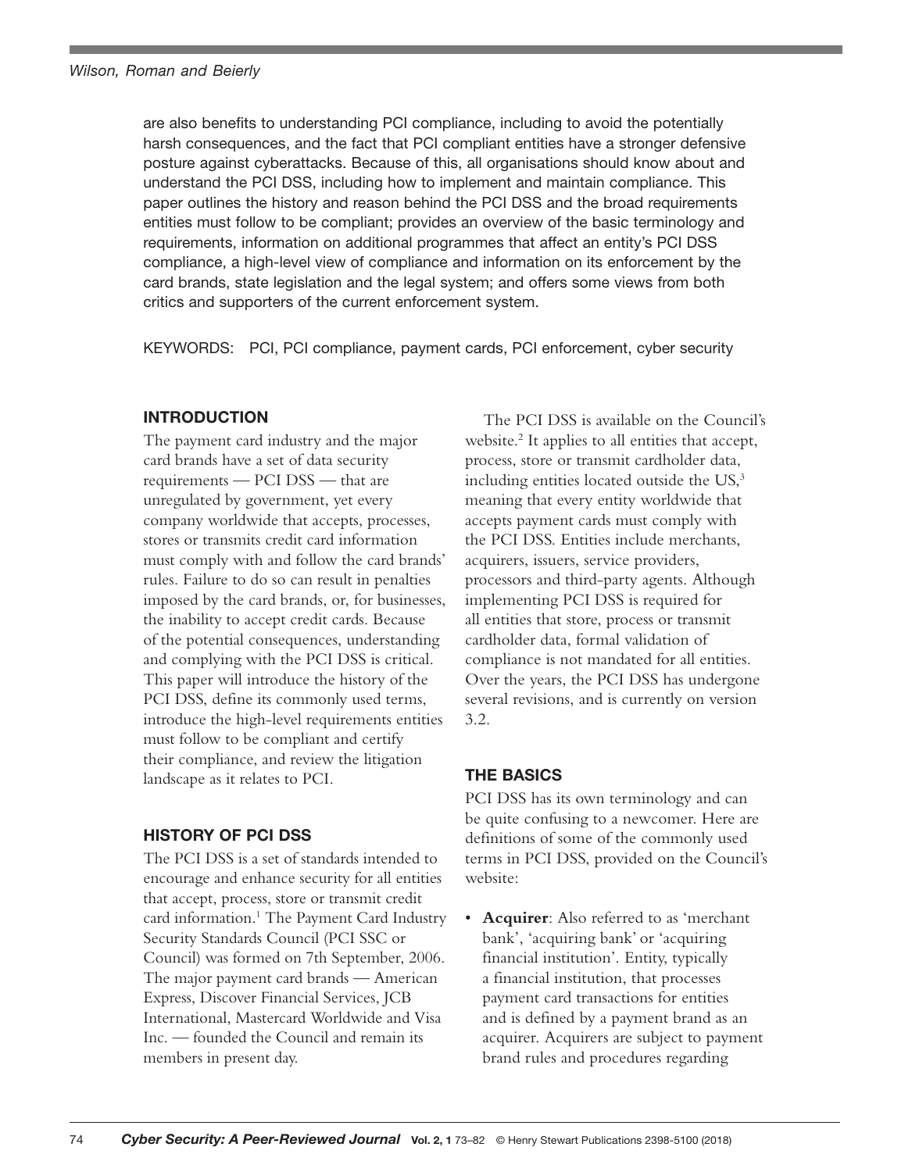are also benefits to understanding PCI compliance, including to avoid the potentially harsh consequences, and the fact that PCI compliant entities have a stronger defensive posture against cyberattacks. Because of this, all organisations should know about and understand the PCI DSS, including how to implement and maintain compliance. This paper outlines the history and reason behind the PCI DSS and the broad requirements entities must follow to be compliant; provides an overview of the basic terminology and requirements, information on additional programmes that affect an entity's PCI DSS compliance, a high-level view of compliance and information on its enforcement by the card brands, state legislation and the legal system; and offers some views from both critics and supporters of the current enforcement system.

KEYWORDS: PCI, PCI compliance, payment cards, PCI enforcement, cyber security

# INTRODUCTION

The payment card industry and the major card brands have a set of data security requirements — PCI DSS — that are unregulated by government, yet every company worldwide that accepts, processes, stores or transmits credit card information must comply with and follow the card brands' rules. Failure to do so can result in penalties imposed by the card brands, or, for businesses, the inability to accept credit cards. Because of the potential consequences, understanding and complying with the PCI DSS is critical. This paper will introduce the history of the PCI DSS, define its commonly used terms, introduce the high-level requirements entities must follow to be compliant and certify their compliance, and review the litigation landscape as it relates to PCI.

## HISTORY OF PCI DSS

The PCI DSS is a set of standards intended to encourage and enhance security for all entities that accept, process, store or transmit credit card information.<sup>1</sup> The Payment Card Industry Security Standards Council (PCI SSC or Council) was formed on 7th September, 2006. The major payment card brands — American Express, Discover Financial Services, JCB International, Mastercard Worldwide and Visa Inc. — founded the Council and remain its members in present day.

The PCI DSS is available on the Council's website.<sup>2</sup> It applies to all entities that accept, process, store or transmit cardholder data, including entities located outside the US,<sup>3</sup> meaning that every entity worldwide that accepts payment cards must comply with the PCI DSS. Entities include merchants, acquirers, issuers, service providers, processors and third-party agents. Although implementing PCI DSS is required for all entities that store, process or transmit cardholder data, formal validation of compliance is not mandated for all entities. Over the years, the PCI DSS has undergone several revisions, and is currently on version 3.2.

# THE BASICS

PCI DSS has its own terminology and can be quite confusing to a newcomer. Here are definitions of some of the commonly used terms in PCI DSS, provided on the Council's website:

• **Acquirer**: Also referred to as 'merchant bank', 'acquiring bank' or 'acquiring financial institution'. Entity, typically a financial institution, that processes payment card transactions for entities and is defined by a payment brand as an acquirer. Acquirers are subject to payment brand rules and procedures regarding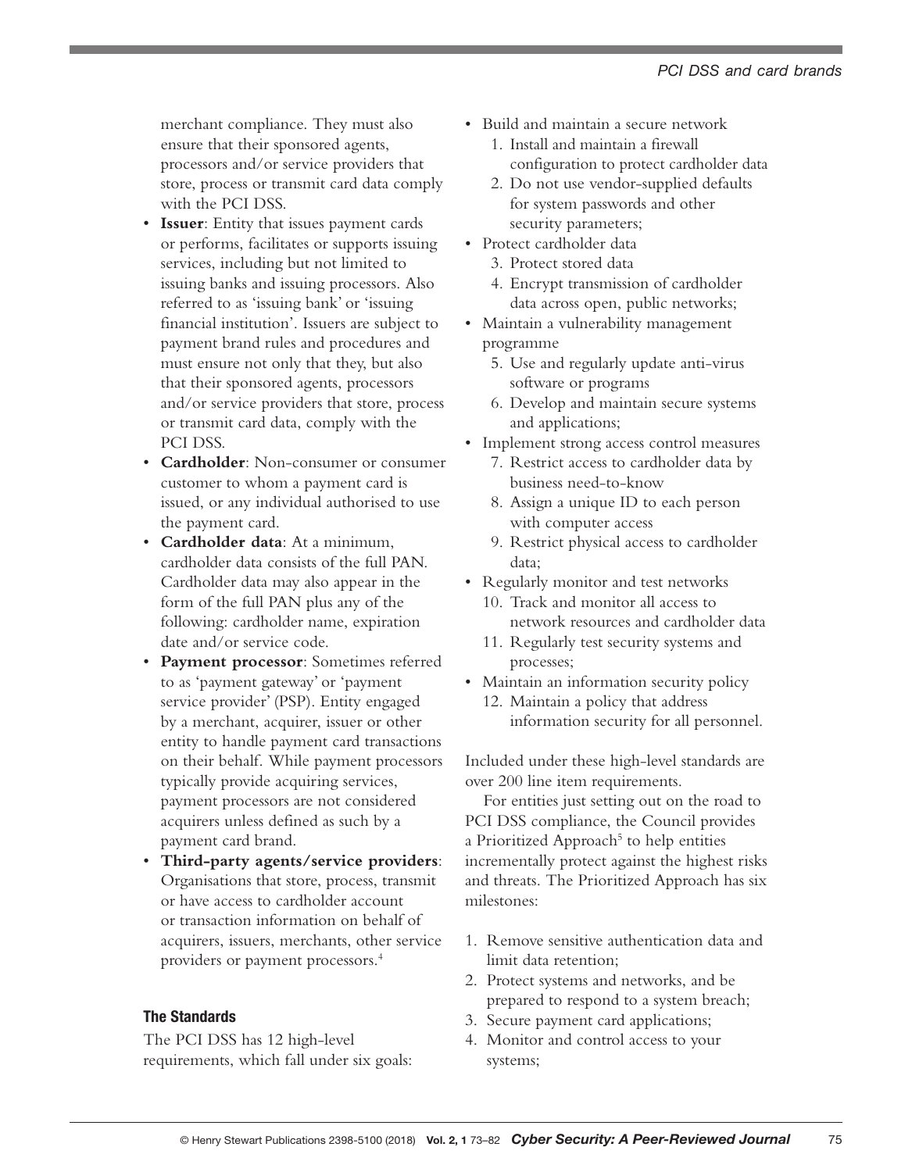merchant compliance. They must also ensure that their sponsored agents, processors and/or service providers that store, process or transmit card data comply with the PCI DSS.

- **Issuer**: Entity that issues payment cards or performs, facilitates or supports issuing services, including but not limited to issuing banks and issuing processors. Also referred to as 'issuing bank' or 'issuing financial institution'. Issuers are subject to payment brand rules and procedures and must ensure not only that they, but also that their sponsored agents, processors and/or service providers that store, process or transmit card data, comply with the PCI DSS.
- **Cardholder**: Non-consumer or consumer customer to whom a payment card is issued, or any individual authorised to use the payment card.
- **Cardholder data**: At a minimum, cardholder data consists of the full PAN. Cardholder data may also appear in the form of the full PAN plus any of the following: cardholder name, expiration date and/or service code.
- **Payment processor**: Sometimes referred to as 'payment gateway' or 'payment service provider' (PSP). Entity engaged by a merchant, acquirer, issuer or other entity to handle payment card transactions on their behalf. While payment processors typically provide acquiring services, payment processors are not considered acquirers unless defined as such by a payment card brand.
- **Third-party agents/service providers**: Organisations that store, process, transmit or have access to cardholder account or transaction information on behalf of acquirers, issuers, merchants, other service providers or payment processors.4

#### The Standards

The PCI DSS has 12 high-level requirements, which fall under six goals:

- Build and maintain a secure network
	- 1. Install and maintain a firewall configuration to protect cardholder data
	- 2. Do not use vendor-supplied defaults for system passwords and other security parameters;
- Protect cardholder data
	- 3. Protect stored data
	- 4. Encrypt transmission of cardholder data across open, public networks;
- Maintain a vulnerability management programme
	- 5. Use and regularly update anti-virus software or programs
	- 6. Develop and maintain secure systems and applications;
- Implement strong access control measures
	- 7. Restrict access to cardholder data by business need-to-know
	- 8. Assign a unique ID to each person with computer access
	- 9. Restrict physical access to cardholder data;
- Regularly monitor and test networks 10. Track and monitor all access to network resources and cardholder data
	- 11. Regularly test security systems and processes;
- Maintain an information security policy 12. Maintain a policy that address information security for all personnel.

Included under these high-level standards are over 200 line item requirements.

For entities just setting out on the road to PCI DSS compliance, the Council provides a Prioritized Approach<sup>5</sup> to help entities incrementally protect against the highest risks and threats. The Prioritized Approach has six milestones:

- 1. Remove sensitive authentication data and limit data retention;
- 2. Protect systems and networks, and be prepared to respond to a system breach;
- 3. Secure payment card applications;
- 4. Monitor and control access to your systems;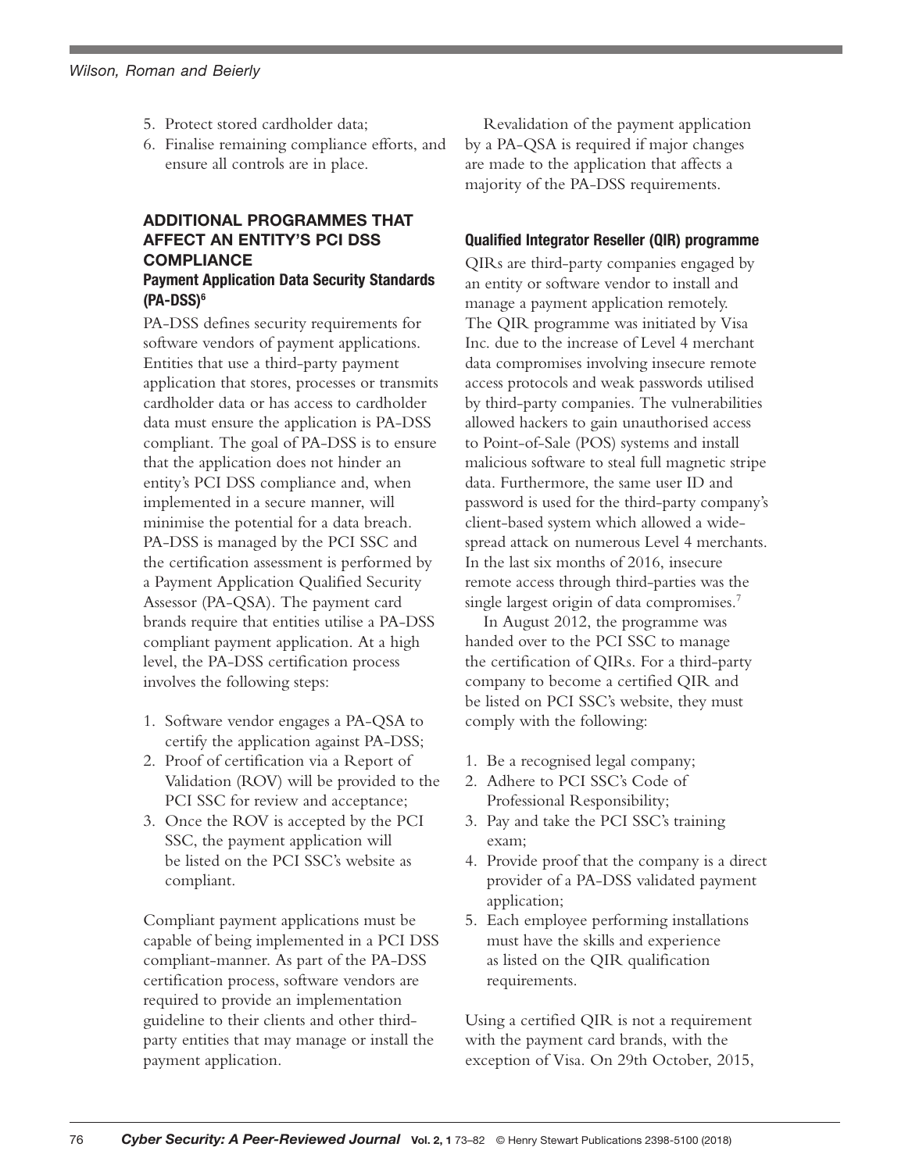- 5. Protect stored cardholder data;
- 6. Finalise remaining compliance efforts, and ensure all controls are in place.

# ADDITIONAL PROGRAMMES THAT AFFECT AN ENTITY'S PCI DSS **COMPLIANCE**

#### Payment Application Data Security Standards (PA-DSS)6

PA-DSS defines security requirements for software vendors of payment applications. Entities that use a third-party payment application that stores, processes or transmits cardholder data or has access to cardholder data must ensure the application is PA-DSS compliant. The goal of PA-DSS is to ensure that the application does not hinder an entity's PCI DSS compliance and, when implemented in a secure manner, will minimise the potential for a data breach. PA-DSS is managed by the PCI SSC and the certification assessment is performed by a Payment Application Qualified Security Assessor (PA-QSA). The payment card brands require that entities utilise a PA-DSS compliant payment application. At a high level, the PA-DSS certification process involves the following steps:

- 1. Software vendor engages a PA-QSA to certify the application against PA-DSS;
- 2. Proof of certification via a Report of Validation (ROV) will be provided to the PCI SSC for review and acceptance;
- 3. Once the ROV is accepted by the PCI SSC, the payment application will be listed on the PCI SSC's website as compliant.

Compliant payment applications must be capable of being implemented in a PCI DSS compliant-manner. As part of the PA-DSS certification process, software vendors are required to provide an implementation guideline to their clients and other thirdparty entities that may manage or install the payment application.

Revalidation of the payment application by a PA-QSA is required if major changes are made to the application that affects a majority of the PA-DSS requirements.

# Qualified Integrator Reseller (QIR) programme

QIRs are third-party companies engaged by an entity or software vendor to install and manage a payment application remotely. The QIR programme was initiated by Visa Inc. due to the increase of Level 4 merchant data compromises involving insecure remote access protocols and weak passwords utilised by third-party companies. The vulnerabilities allowed hackers to gain unauthorised access to Point-of-Sale (POS) systems and install malicious software to steal full magnetic stripe data. Furthermore, the same user ID and password is used for the third-party company's client-based system which allowed a widespread attack on numerous Level 4 merchants. In the last six months of 2016, insecure remote access through third-parties was the single largest origin of data compromises.<sup>7</sup>

In August 2012, the programme was handed over to the PCI SSC to manage the certification of QIRs. For a third-party company to become a certified QIR and be listed on PCI SSC's website, they must comply with the following:

- 1. Be a recognised legal company;
- 2. Adhere to PCI SSC's Code of Professional Responsibility;
- 3. Pay and take the PCI SSC's training exam;
- 4. Provide proof that the company is a direct provider of a PA-DSS validated payment application;
- 5. Each employee performing installations must have the skills and experience as listed on the QIR qualification requirements.

Using a certified QIR is not a requirement with the payment card brands, with the exception of Visa. On 29th October, 2015,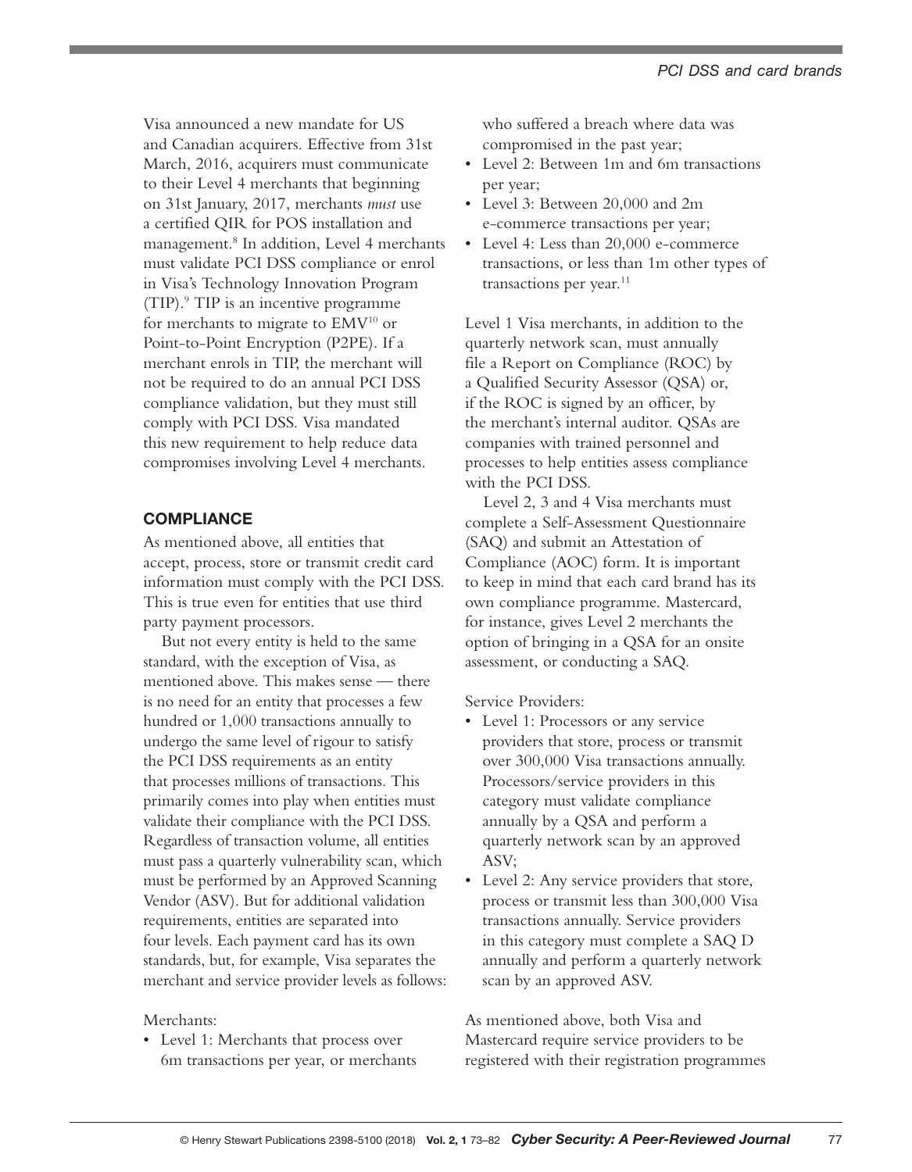Visa announced a new mandate for US and Canadian acquirers. Effective from 31st March, 2016, acquirers must communicate to their Level 4 merchants that beginning on 31st January, 2017, merchants *must* use a certified QIR for POS installation and management.8 In addition, Level 4 merchants must validate PCI DSS compliance or enrol in Visa's Technology Innovation Program (TIP).9 TIP is an incentive programme for merchants to migrate to EMV<sup>10</sup> or Point-to-Point Encryption (P2PE). If a merchant enrols in TIP, the merchant will not be required to do an annual PCI DSS compliance validation, but they must still comply with PCI DSS. Visa mandated this new requirement to help reduce data compromises involving Level 4 merchants.

# **COMPLIANCE**

As mentioned above, all entities that accept, process, store or transmit credit card information must comply with the PCI DSS. This is true even for entities that use third party payment processors.

But not every entity is held to the same standard, with the exception of Visa, as mentioned above. This makes sense — there is no need for an entity that processes a few hundred or 1,000 transactions annually to undergo the same level of rigour to satisfy the PCI DSS requirements as an entity that processes millions of transactions. This primarily comes into play when entities must validate their compliance with the PCI DSS. Regardless of transaction volume, all entities must pass a quarterly vulnerability scan, which must be performed by an Approved Scanning Vendor (ASV). But for additional validation requirements, entities are separated into four levels. Each payment card has its own standards, but, for example, Visa separates the merchant and service provider levels as follows:

## Merchants:

• Level 1: Merchants that process over 6m transactions per year, or merchants who suffered a breach where data was compromised in the past year;

- Level 2: Between 1m and 6m transactions per year;
- Level 3: Between 20,000 and 2m e-commerce transactions per year;
- Level 4: Less than 20,000 e-commerce transactions, or less than 1m other types of transactions per year.<sup>11</sup>

Level 1 Visa merchants, in addition to the quarterly network scan, must annually file a Report on Compliance (ROC) by a Qualified Security Assessor (QSA) or, if the ROC is signed by an officer, by the merchant's internal auditor. QSAs are companies with trained personnel and processes to help entities assess compliance with the PCI DSS.

Level 2, 3 and 4 Visa merchants must complete a Self-Assessment Questionnaire (SAQ) and submit an Attestation of Compliance (AOC) form. It is important to keep in mind that each card brand has its own compliance programme. Mastercard, for instance, gives Level 2 merchants the option of bringing in a QSA for an onsite assessment, or conducting a SAQ.

Service Providers:

- Level 1: Processors or any service providers that store, process or transmit over 300,000 Visa transactions annually. Processors/service providers in this category must validate compliance annually by a QSA and perform a quarterly network scan by an approved ASV;
- Level 2: Any service providers that store, process or transmit less than 300,000 Visa transactions annually. Service providers in this category must complete a SAQ D annually and perform a quarterly network scan by an approved ASV.

As mentioned above, both Visa and Mastercard require service providers to be registered with their registration programmes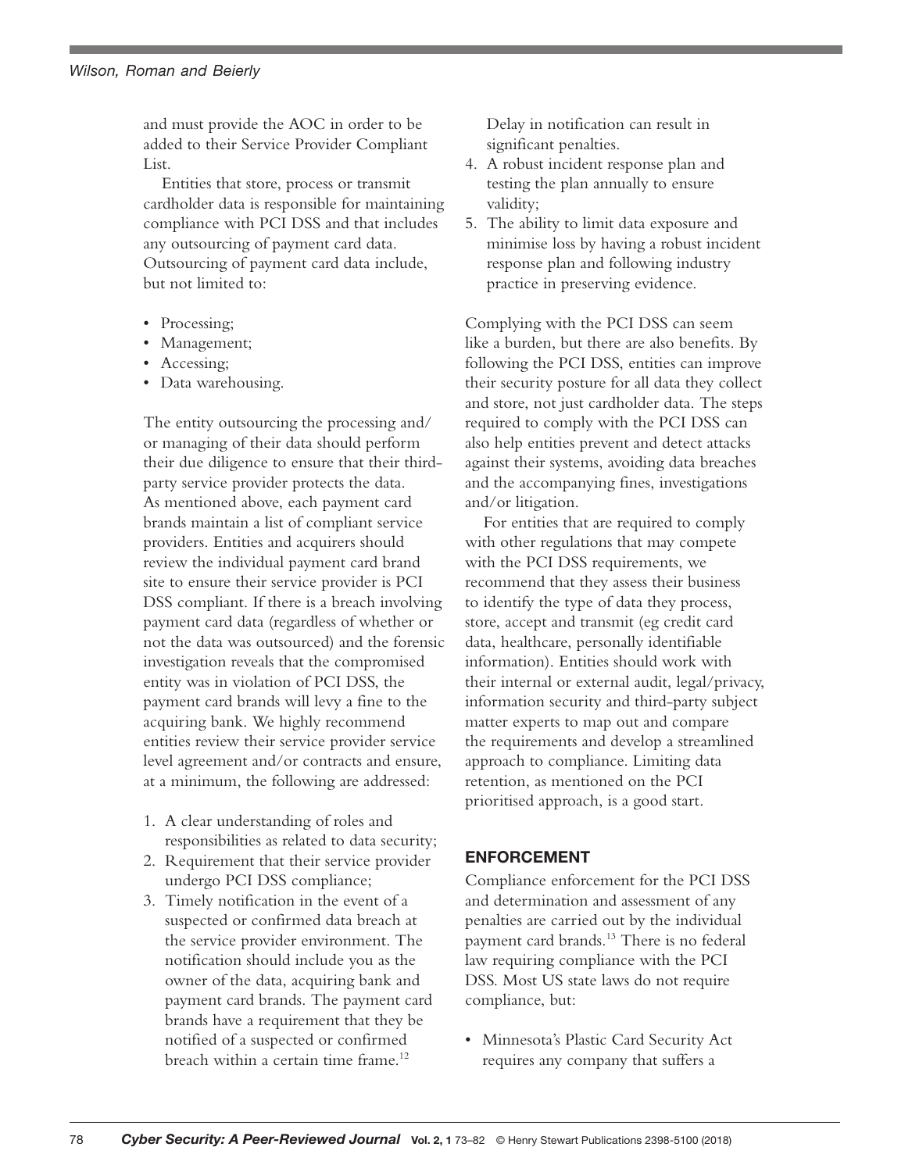and must provide the AOC in order to be added to their Service Provider Compliant List.

Entities that store, process or transmit cardholder data is responsible for maintaining compliance with PCI DSS and that includes any outsourcing of payment card data. Outsourcing of payment card data include, but not limited to:

- Processing;
- Management;
- Accessing;
- Data warehousing.

The entity outsourcing the processing and/ or managing of their data should perform their due diligence to ensure that their thirdparty service provider protects the data. As mentioned above, each payment card brands maintain a list of compliant service providers. Entities and acquirers should review the individual payment card brand site to ensure their service provider is PCI DSS compliant. If there is a breach involving payment card data (regardless of whether or not the data was outsourced) and the forensic investigation reveals that the compromised entity was in violation of PCI DSS, the payment card brands will levy a fine to the acquiring bank. We highly recommend entities review their service provider service level agreement and/or contracts and ensure, at a minimum, the following are addressed:

- 1. A clear understanding of roles and responsibilities as related to data security;
- 2. Requirement that their service provider undergo PCI DSS compliance;
- 3. Timely notification in the event of a suspected or confirmed data breach at the service provider environment. The notification should include you as the owner of the data, acquiring bank and payment card brands. The payment card brands have a requirement that they be notified of a suspected or confirmed breach within a certain time frame.12

Delay in notification can result in significant penalties.

- 4. A robust incident response plan and testing the plan annually to ensure validity;
- 5. The ability to limit data exposure and minimise loss by having a robust incident response plan and following industry practice in preserving evidence.

Complying with the PCI DSS can seem like a burden, but there are also benefits. By following the PCI DSS, entities can improve their security posture for all data they collect and store, not just cardholder data. The steps required to comply with the PCI DSS can also help entities prevent and detect attacks against their systems, avoiding data breaches and the accompanying fines, investigations and/or litigation.

For entities that are required to comply with other regulations that may compete with the PCI DSS requirements, we recommend that they assess their business to identify the type of data they process, store, accept and transmit (eg credit card data, healthcare, personally identifiable information). Entities should work with their internal or external audit, legal/privacy, information security and third-party subject matter experts to map out and compare the requirements and develop a streamlined approach to compliance. Limiting data retention, as mentioned on the PCI prioritised approach, is a good start.

## ENFORCEMENT

Compliance enforcement for the PCI DSS and determination and assessment of any penalties are carried out by the individual payment card brands.<sup>13</sup> There is no federal law requiring compliance with the PCI DSS. Most US state laws do not require compliance, but:

• Minnesota's Plastic Card Security Act requires any company that suffers a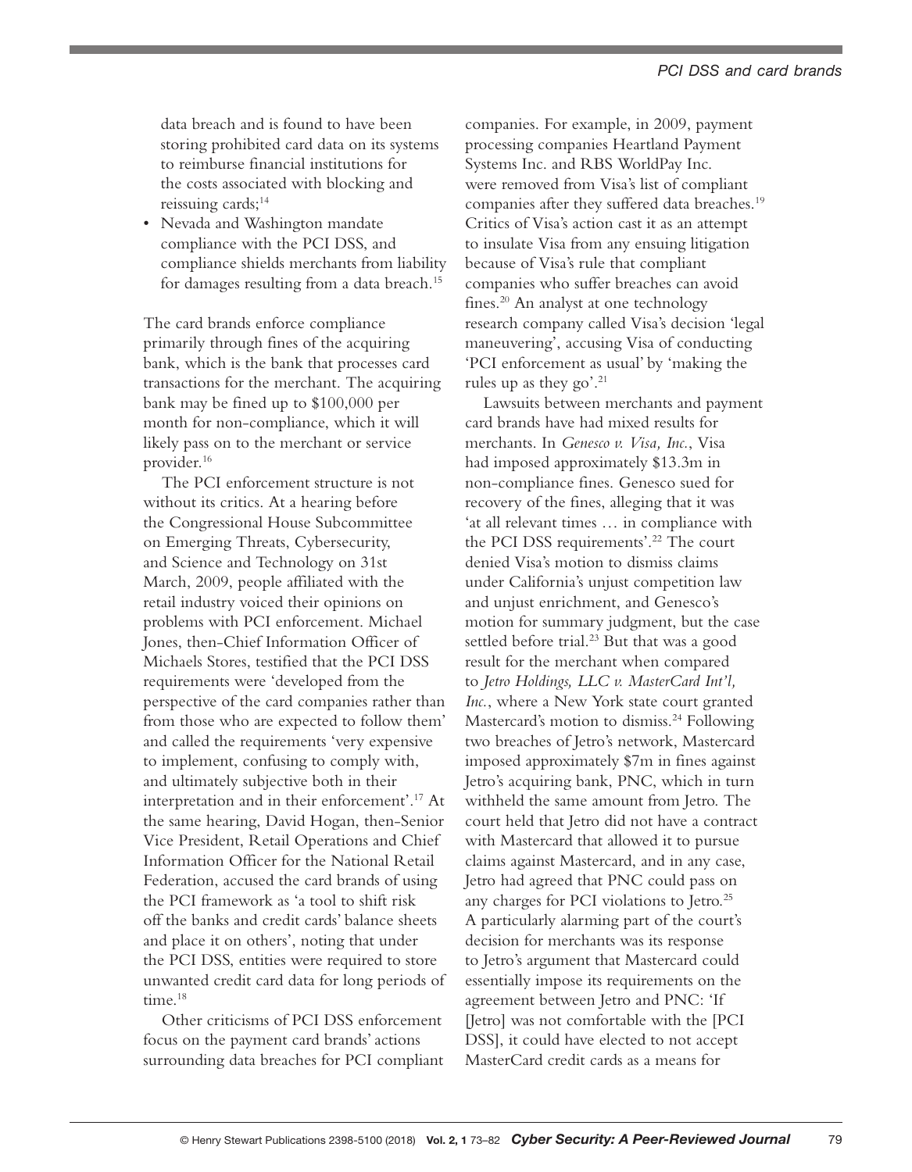data breach and is found to have been storing prohibited card data on its systems to reimburse financial institutions for the costs associated with blocking and reissuing cards;<sup>14</sup>

• Nevada and Washington mandate compliance with the PCI DSS, and compliance shields merchants from liability for damages resulting from a data breach.15

The card brands enforce compliance primarily through fines of the acquiring bank, which is the bank that processes card transactions for the merchant. The acquiring bank may be fined up to \$100,000 per month for non-compliance, which it will likely pass on to the merchant or service provider.16

The PCI enforcement structure is not without its critics. At a hearing before the Congressional House Subcommittee on Emerging Threats, Cybersecurity, and Science and Technology on 31st March, 2009, people affiliated with the retail industry voiced their opinions on problems with PCI enforcement. Michael Jones, then-Chief Information Officer of Michaels Stores, testified that the PCI DSS requirements were 'developed from the perspective of the card companies rather than from those who are expected to follow them' and called the requirements 'very expensive to implement, confusing to comply with, and ultimately subjective both in their interpretation and in their enforcement'.17 At the same hearing, David Hogan, then-Senior Vice President, Retail Operations and Chief Information Officer for the National Retail Federation, accused the card brands of using the PCI framework as 'a tool to shift risk off the banks and credit cards' balance sheets and place it on others', noting that under the PCI DSS, entities were required to store unwanted credit card data for long periods of time.<sup>18</sup>

Other criticisms of PCI DSS enforcement focus on the payment card brands' actions surrounding data breaches for PCI compliant

companies. For example, in 2009, payment processing companies Heartland Payment Systems Inc. and RBS WorldPay Inc. were removed from Visa's list of compliant companies after they suffered data breaches.<sup>19</sup> Critics of Visa's action cast it as an attempt to insulate Visa from any ensuing litigation because of Visa's rule that compliant companies who suffer breaches can avoid fines.20 An analyst at one technology research company called Visa's decision 'legal maneuvering', accusing Visa of conducting 'PCI enforcement as usual' by 'making the rules up as they go'.<sup>21</sup>

Lawsuits between merchants and payment card brands have had mixed results for merchants. In *Genesco v. Visa, Inc.*, Visa had imposed approximately \$13.3m in non-compliance fines. Genesco sued for recovery of the fines, alleging that it was 'at all relevant times … in compliance with the PCI DSS requirements'.<sup>22</sup> The court denied Visa's motion to dismiss claims under California's unjust competition law and unjust enrichment, and Genesco's motion for summary judgment, but the case settled before trial.<sup>23</sup> But that was a good result for the merchant when compared to *Jetro Holdings, LLC v. MasterCard Int'l, Inc.*, where a New York state court granted Mastercard's motion to dismiss.<sup>24</sup> Following two breaches of Jetro's network, Mastercard imposed approximately \$7m in fines against Jetro's acquiring bank, PNC, which in turn withheld the same amount from Jetro. The court held that Jetro did not have a contract with Mastercard that allowed it to pursue claims against Mastercard, and in any case, Jetro had agreed that PNC could pass on any charges for PCI violations to Jetro.<sup>25</sup> A particularly alarming part of the court's decision for merchants was its response to Jetro's argument that Mastercard could essentially impose its requirements on the agreement between Jetro and PNC: 'If [Jetro] was not comfortable with the [PCI DSS], it could have elected to not accept MasterCard credit cards as a means for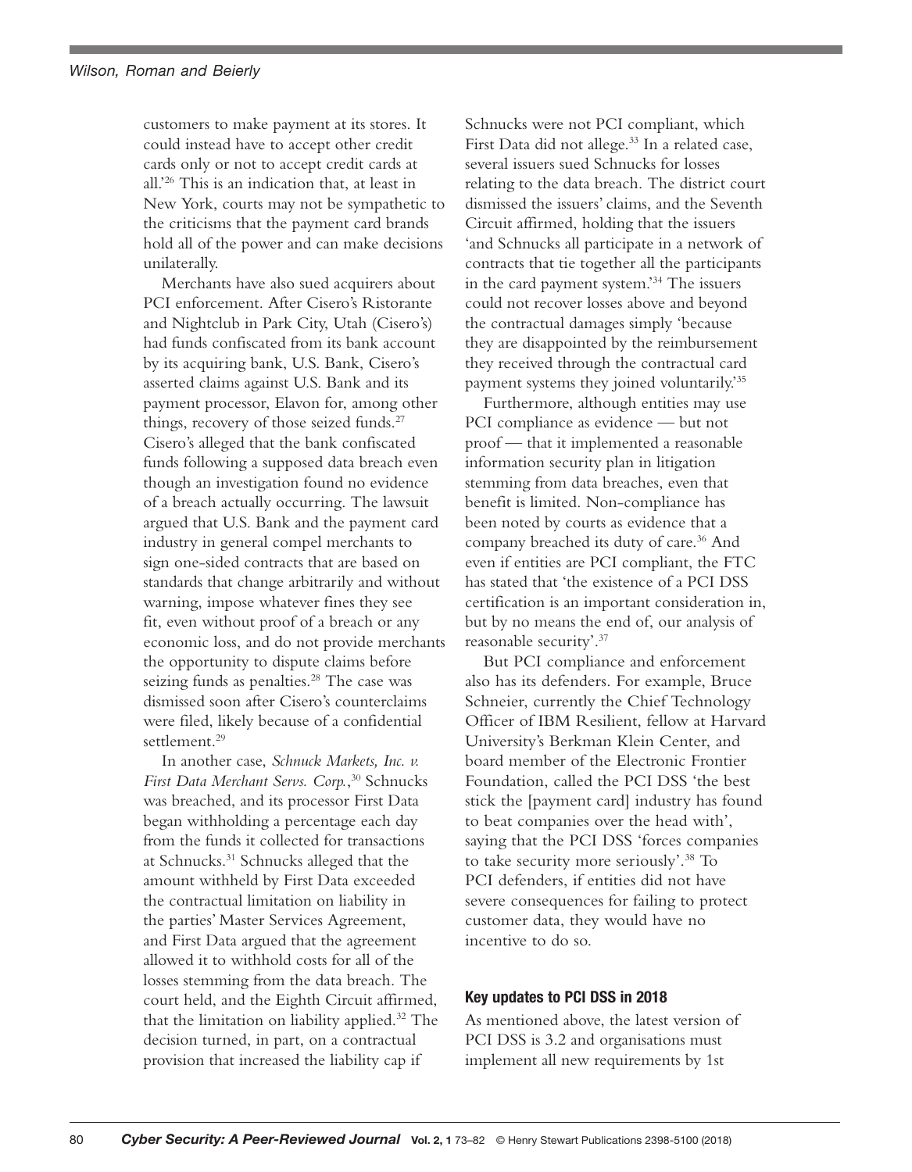customers to make payment at its stores. It could instead have to accept other credit cards only or not to accept credit cards at all.'26 This is an indication that, at least in New York, courts may not be sympathetic to the criticisms that the payment card brands hold all of the power and can make decisions unilaterally.

Merchants have also sued acquirers about PCI enforcement. After Cisero's Ristorante and Nightclub in Park City, Utah (Cisero's) had funds confiscated from its bank account by its acquiring bank, U.S. Bank, Cisero's asserted claims against U.S. Bank and its payment processor, Elavon for, among other things, recovery of those seized funds.<sup>27</sup> Cisero's alleged that the bank confiscated funds following a supposed data breach even though an investigation found no evidence of a breach actually occurring. The lawsuit argued that U.S. Bank and the payment card industry in general compel merchants to sign one-sided contracts that are based on standards that change arbitrarily and without warning, impose whatever fines they see fit, even without proof of a breach or any economic loss, and do not provide merchants the opportunity to dispute claims before seizing funds as penalties.<sup>28</sup> The case was dismissed soon after Cisero's counterclaims were filed, likely because of a confidential settlement.<sup>29</sup>

In another case, *Schnuck Markets, Inc. v. First Data Merchant Servs. Corp.*, 30 Schnucks was breached, and its processor First Data began withholding a percentage each day from the funds it collected for transactions at Schnucks.31 Schnucks alleged that the amount withheld by First Data exceeded the contractual limitation on liability in the parties' Master Services Agreement, and First Data argued that the agreement allowed it to withhold costs for all of the losses stemming from the data breach. The court held, and the Eighth Circuit affirmed, that the limitation on liability applied.32 The decision turned, in part, on a contractual provision that increased the liability cap if

Schnucks were not PCI compliant, which First Data did not allege.<sup>33</sup> In a related case, several issuers sued Schnucks for losses relating to the data breach. The district court dismissed the issuers' claims, and the Seventh Circuit affirmed, holding that the issuers 'and Schnucks all participate in a network of contracts that tie together all the participants in the card payment system.'34 The issuers could not recover losses above and beyond the contractual damages simply 'because they are disappointed by the reimbursement they received through the contractual card payment systems they joined voluntarily.'35

Furthermore, although entities may use PCI compliance as evidence — but not proof — that it implemented a reasonable information security plan in litigation stemming from data breaches, even that benefit is limited. Non-compliance has been noted by courts as evidence that a company breached its duty of care.<sup>36</sup> And even if entities are PCI compliant, the FTC has stated that 'the existence of a PCI DSS certification is an important consideration in, but by no means the end of, our analysis of reasonable security'.37

But PCI compliance and enforcement also has its defenders. For example, Bruce Schneier, currently the Chief Technology Officer of IBM Resilient, fellow at Harvard University's Berkman Klein Center, and board member of the Electronic Frontier Foundation, called the PCI DSS 'the best stick the [payment card] industry has found to beat companies over the head with', saying that the PCI DSS 'forces companies to take security more seriously'.38 To PCI defenders, if entities did not have severe consequences for failing to protect customer data, they would have no incentive to do so.

## Key updates to PCI DSS in 2018

As mentioned above, the latest version of PCI DSS is 3.2 and organisations must implement all new requirements by 1st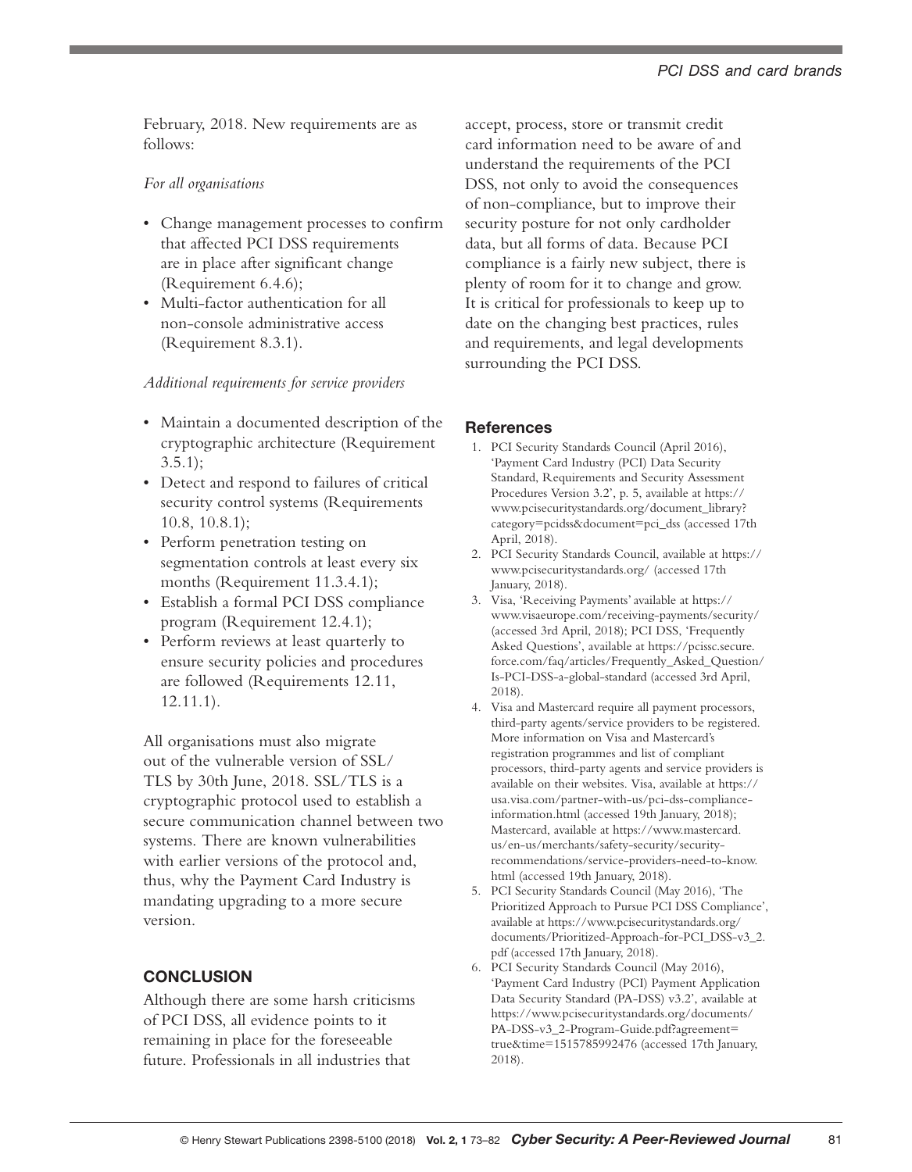February, 2018. New requirements are as follows:

#### *For all organisations*

- Change management processes to confirm that affected PCI DSS requirements are in place after significant change (Requirement 6.4.6);
- Multi-factor authentication for all non-console administrative access (Requirement 8.3.1).

#### *Additional requirements for service providers*

- Maintain a documented description of the cryptographic architecture (Requirement  $3.5.1$ ;
- Detect and respond to failures of critical security control systems (Requirements 10.8, 10.8.1);
- Perform penetration testing on segmentation controls at least every six months (Requirement 11.3.4.1);
- Establish a formal PCI DSS compliance program (Requirement 12.4.1);
- Perform reviews at least quarterly to ensure security policies and procedures are followed (Requirements 12.11, 12.11.1).

All organisations must also migrate out of the vulnerable version of SSL/ TLS by 30th June, 2018. SSL/TLS is a cryptographic protocol used to establish a secure communication channel between two systems. There are known vulnerabilities with earlier versions of the protocol and, thus, why the Payment Card Industry is mandating upgrading to a more secure version.

# **CONCLUSION**

Although there are some harsh criticisms of PCI DSS, all evidence points to it remaining in place for the foreseeable future. Professionals in all industries that

accept, process, store or transmit credit card information need to be aware of and understand the requirements of the PCI DSS, not only to avoid the consequences of non-compliance, but to improve their security posture for not only cardholder data, but all forms of data. Because PCI compliance is a fairly new subject, there is plenty of room for it to change and grow. It is critical for professionals to keep up to date on the changing best practices, rules and requirements, and legal developments surrounding the PCI DSS.

## **References**

- 1. PCI Security Standards Council (April 2016), 'Payment Card Industry (PCI) Data Security Standard, Requirements and Security Assessment Procedures Version 3.2', p. 5, available at https:// www.pcisecuritystandards.org/document\_library? category=pcidss&document=pci\_dss (accessed 17th April, 2018).
- 2. PCI Security Standards Council, available at https:// www.pcisecuritystandards.org/ (accessed 17th January, 2018).
- 3. Visa, 'Receiving Payments' available at https:// www.visaeurope.com/receiving-payments/security/ (accessed 3rd April, 2018); PCI DSS, 'Frequently Asked Questions', available at https://pcissc.secure. force.com/faq/articles/Frequently\_Asked\_Question/ Is-PCI-DSS-a-global-standard (accessed 3rd April, 2018).
- 4. Visa and Mastercard require all payment processors, third-party agents/service providers to be registered. More information on Visa and Mastercard's registration programmes and list of compliant processors, third-party agents and service providers is available on their websites. Visa, available at https:// usa.visa.com/partner-with-us/pci-dss-complianceinformation.html (accessed 19th January, 2018); Mastercard, available at https://www.mastercard. us/en-us/merchants/safety-security/securityrecommendations/service-providers-need-to-know. html (accessed 19th January, 2018).
- 5. PCI Security Standards Council (May 2016), 'The Prioritized Approach to Pursue PCI DSS Compliance', available at https://www.pcisecuritystandards.org/ documents/Prioritized-Approach-for-PCI\_DSS-v3\_2. pdf (accessed 17th January, 2018).
- 6. PCI Security Standards Council (May 2016), 'Payment Card Industry (PCI) Payment Application Data Security Standard (PA-DSS) v3.2', available at https://www.pcisecuritystandards.org/documents/ PA-DSS-v3\_2-Program-Guide.pdf?agreement= true&time=1515785992476 (accessed 17th January, 2018).